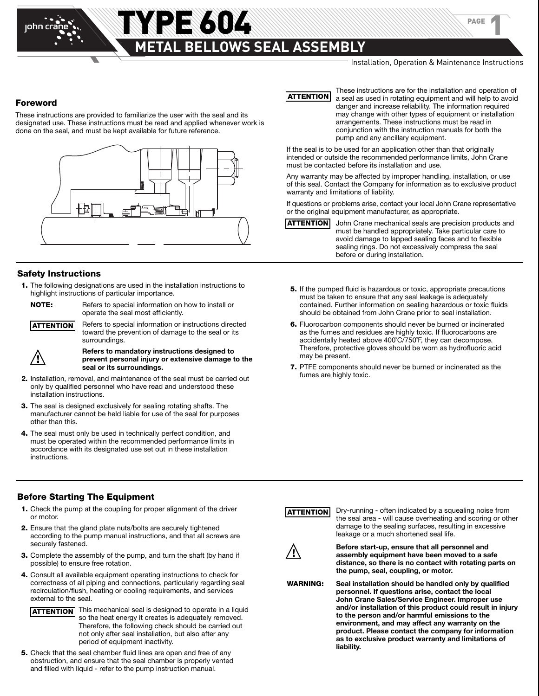## **THE 604 WARRANT STATE OF A STATE OF A STATE ASSEMBLY METAL BELLOWS SEAL ASSEMBLY**

PAGE

1

#### **Foreword**

These instructions are provided to familiarize the user with the seal and its designated use. These instructions must be read and applied whenever work is done on the seal, and must be kept available for future reference.



#### **Safety Instructions**

 **1.** The following designations are used in the installation instructions to highlight instructions of particular importance.



**NOTE:** Refers to special information on how to install or operate the seal most efficiently.

**ATTENTION**

 Refers to special information or instructions directed toward the prevention of damage to the seal or its surroundings.

**!**

 **Refers to mandatory instructions designed to prevent personal injury or extensive damage to the seal or its surroundings.**

- **2.** Installation, removal, and maintenance of the seal must be carried out only by qualified personnel who have read and understood these installation instructions.
- **3.** The seal is designed exclusively for sealing rotating shafts. The manufacturer cannot be held liable for use of the seal for purposes other than this.
- **4.** The seal must only be used in technically perfect condition, and must be operated within the recommended performance limits in accordance with its designated use set out in these installation instructions.

**ATTENTION**

These instructions are for the installation and operation of a seal as used in rotating equipment and will help to avoid danger and increase reliability. The information required may change with other types of equipment or installation arrangements. These instructions must be read in conjunction with the instruction manuals for both the pump and any ancillary equipment.

If the seal is to be used for an application other than that originally intended or outside the recommended performance limits, John Crane must be contacted before its installation and use.

Any warranty may be affected by improper handling, installation, or use of this seal. Contact the Company for information as to exclusive product warranty and limitations of liability.

If questions or problems arise, contact your local John Crane representative or the original equipment manufacturer, as appropriate.

John Crane mechanical seals are precision products and must be handled appropriately. Take particular care to avoid damage to lapped sealing faces and to flexible sealing rings. Do not excessively compress the seal before or during installation. **ATTENTION**

- **5.** If the pumped fluid is hazardous or toxic, appropriate precautions must be taken to ensure that any seal leakage is adequately contained. Further information on sealing hazardous or toxic fluids should be obtained from John Crane prior to seal installation.
- **6.** Fluorocarbon components should never be burned or incinerated as the fumes and residues are highly toxic. If fluorocarbons are accidentally heated above 400˚C/750˚F, they can decompose. Therefore, protective gloves should be worn as hydrofluoric acid may be present.
- **7.** PTFE components should never be burned or incinerated as the fumes are highly toxic.

#### **Before Starting The Equipment**

- **1.** Check the pump at the coupling for proper alignment of the driver or motor.
- **2.** Ensure that the gland plate nuts/bolts are securely tightened according to the pump manual instructions, and that all screws are securely fastened.
- **3.** Complete the assembly of the pump, and turn the shaft (by hand if possible) to ensure free rotation.
- **4.** Consult all available equipment operating instructions to check for correctness of all piping and connections, particularly regarding seal recirculation/flush, heating or cooling requirements, and services external to the seal.



 **5.** Check that the seal chamber fluid lines are open and free of any obstruction, and ensure that the seal chamber is properly vented and filled with liquid - refer to the pump instruction manual.



Dry-running - often indicated by a squealing noise from the seal area - will cause overheating and scoring or other damage to the sealing surfaces, resulting in excessive leakage or a much shortened seal life.



**Before start-up, ensure that all personnel and assembly equipment have been moved to a safe distance, so there is no contact with rotating parts on the pump, seal, coupling, or motor.**

**WARNING: Seal installation should be handled only by qualified personnel. If questions arise, contact the local John Crane Sales/Service Engineer. Improper use and/or installation of this product could result in injury to the person and/or harmful emissions to the environment, and may affect any warranty on the product. Please contact the company for information as to exclusive product warranty and limitations of liability.**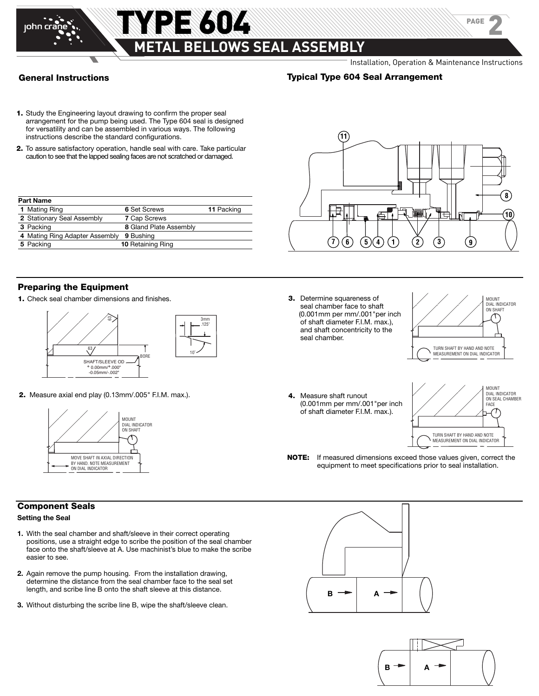

john cra

#### Installation, Operation & Maintenance Instructions

PAGE

2

#### **Typical Type 604 Seal Arrangement**

**11**

- **1.** Study the Engineering layout drawing to confirm the proper seal arrangement for the pump being used. The Type 604 seal is designed for versatility and can be assembled in various ways. The following instructions describe the standard configurations.
- **2.** To assure satisfactory operation, handle seal with care. Take particular caution to see that the lapped sealing faces are not scratched or damaged.

| <b>Part Name</b>               |                          |            |
|--------------------------------|--------------------------|------------|
| 1 Mating Ring                  | 6 Set Screws             | 11 Packing |
| 2 Stationary Seal Assembly     | <b>7 Cap Screws</b>      |            |
| 3 Packing                      | 8 Gland Plate Assembly   |            |
| 4 Mating Ring Adapter Assembly | 9 Bushing                |            |
| 5 Packing                      | <b>10 Retaining Ring</b> |            |



**1.** Check seal chamber dimensions and finishes.



**2.** Measure axial end play (0.13mm/.005" F.I.M. max.).



#### **Component Seals**

#### **Setting the Seal**

- **1.** With the seal chamber and shaft/sleeve in their correct operating positions, use a straight edge to scribe the position of the seal chamber face onto the shaft/sleeve at A. Use machinist's blue to make the scribe easier to see.
- **2.** Again remove the pump housing. From the installation drawing, determine the distance from the seal chamber face to the seal set length, and scribe line B onto the shaft sleeve at this distance.
- **3.** Without disturbing the scribe line B, wipe the shaft/sleeve clean.



**3.** Determine squareness of seal chamber face to shaft (0.001mm per mm/.001"per inch of shaft diameter F.I.M. max.), and shaft concentricity to the seal chamber.



**4.** Measure shaft runout (0.001mm per mm/.001"per inch of shaft diameter F.I.M. max.).



**NOTE:** If measured dimensions exceed those values given, correct the equipment to meet specifications prior to seal installation.



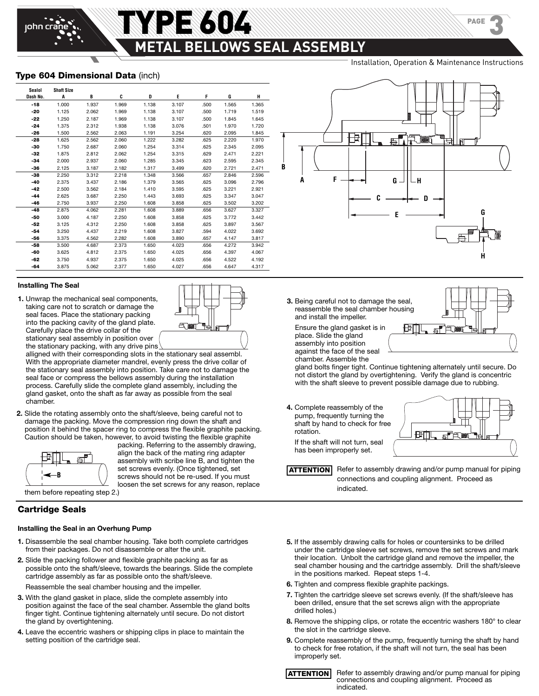# **METAL BELLOWS SEAL ASSEMBLY**

E 604

Installation, Operation & Maintenance Instructions

PAGE

3

#### **Type 604 Dimensional Data** (inch)

iohn cr

| Sealol   | <b>Shaft Size</b> |       |       |       |       |      |       |       |
|----------|-------------------|-------|-------|-------|-------|------|-------|-------|
| Dash No. | A                 | В     | C     | D     | E     | F    | G     | н     |
| $-18$    | 1.000             | 1.937 | 1.969 | 1.138 | 3.107 | .500 | 1.565 | 1.365 |
| -20      | 1.125             | 2.062 | 1.969 | 1.138 | 3.107 | .500 | 1.719 | 1.519 |
| $-22$    | 1.250             | 2.187 | 1.969 | 1.138 | 3.107 | .500 | 1.845 | 1.645 |
| $-24$    | 1.375             | 2.312 | 1.938 | 1.138 | 3.076 | .501 | 1.970 | 1.720 |
| -26      | 1.500             | 2.562 | 2.063 | 1.191 | 3.254 | .620 | 2.095 | 1.845 |
| -28      | 1.625             | 2.562 | 2.060 | 1.222 | 3.282 | .625 | 2.220 | 1.970 |
| -30      | 1.750             | 2.687 | 2.060 | 1.254 | 3.314 | .625 | 2.345 | 2.095 |
| -32      | 1.875             | 2.812 | 2.062 | 1.254 | 3.315 | .629 | 2.471 | 2.221 |
| -34      | 2.000             | 2.937 | 2.060 | 1.285 | 3.345 | .623 | 2.595 | 2.345 |
| -36      | 2.125             | 3.187 | 2.182 | 1.317 | 3.499 | .620 | 2.721 | 2.471 |
| $-38$    | 2.250             | 3.312 | 2.218 | 1.348 | 3.566 | .657 | 2.846 | 2.596 |
| $-40$    | 2.375             | 3.437 | 2.186 | 1.379 | 3.565 | .625 | 3.096 | 2.796 |
| -42      | 2.500             | 3.562 | 2.184 | 1.410 | 3.595 | .625 | 3.221 | 2.921 |
| -44      | 2.625             | 3.687 | 2.250 | 1.443 | 3.693 | .625 | 3.347 | 3.047 |
| -46      | 2.750             | 3.937 | 2.250 | 1.608 | 3.858 | .625 | 3.502 | 3.202 |
| -48      | 2.875             | 4.062 | 2.281 | 1.608 | 3.889 | .656 | 3.627 | 3.327 |
| -50      | 3.000             | 4.187 | 2.250 | 1.608 | 3.858 | .625 | 3.772 | 3.442 |
| -52      | 3.125             | 4.312 | 2.250 | 1.608 | 3.858 | .625 | 3.897 | 3.567 |
| $-54$    | 3.250             | 4.437 | 2.219 | 1.608 | 3.827 | .594 | 4.022 | 3.692 |
| -56      | 3.375             | 4.562 | 2.282 | 1.608 | 3.890 | .657 | 4.147 | 3.817 |
| -58      | 3.500             | 4.687 | 2.373 | 1.650 | 4.023 | .656 | 4.272 | 3.942 |
| -60      | 3.625             | 4.812 | 2.375 | 1.650 | 4.025 | .656 | 4.397 | 4.067 |
| -62      | 3.750             | 4.937 | 2.375 | 1.650 | 4.025 | .656 | 4.522 | 4.192 |
| -64      | 3.875             | 5.062 | 2.377 | 1.650 | 4.027 | .656 | 4.647 | 4.317 |

#### **Installing The Seal**

**1.** Unwrap the mechanical seal components, taking care not to scratch or damage the seal faces. Place the stationary packing into the packing cavity of the gland plate. Carefully place the drive collar of the stationary seal assembly in position over the stationary packing, with any drive pins

alligned with their corresponding slots in the stationary seal assembl. With the appropriate diameter mandrel, evenly press the drive collar of the stationary seal assembly into position. Take care not to damage the seal face or compress the bellows assembly during the installation process. Carefully slide the complete gland assembly, including the gland gasket, onto the shaft as far away as possible from the seal chamber.

**2.** Slide the rotating assembly onto the shaft/sleeve, being careful not to damage the packing. Move the compression ring down the shaft and position it behind the spacer ring to compress the flexible graphite packing. Caution should be taken, however, to avoid twisting the flexible graphite



packing. Referring to the assembly drawing, align the back of the mating ring adapter assembly with scribe line B, and tighten the set screws evenly. (Once tightened, set screws should not be re-used. If you must loosen the set screws for any reason, replace

them before repeating step 2.)

#### **Cartridge Seals**

#### **Installing the Seal in an Overhung Pump**

- **1.** Disassemble the seal chamber housing. Take both complete cartridges from their packages. Do not disassemble or alter the unit.
- **2.** Slide the packing follower and flexible graphite packing as far as possible onto the shaft/sleeve, towards the bearings. Slide the complete cartridge assembly as far as possible onto the shaft/sleeve.

Reassemble the seal chamber housing and the impeller.

- **3.** With the gland gasket in place, slide the complete assembly into position against the face of the seal chamber. Assemble the gland bolts finger tight. Continue tightening alternately until secure. Do not distort the gland by overtightening.
- **4.** Leave the eccentric washers or shipping clips in place to maintain the setting position of the cartridge seal.



**3.** Being careful not to damage the seal, reassemble the seal chamber housing and install the impeller.

 Ensure the gland gasket is in place. Slide the gland assembly into position against the face of the seal chamber. Assemble the



gland bolts finger tight. Continue tightening alternately until secure. Do not distort the gland by overtightening. Verify the gland is concentric with the shaft sleeve to prevent possible damage due to rubbing.

**4.** Complete reassembly of the pump, frequently turning the shaft by hand to check for free rotation.



 If the shaft will not turn, seal has been improperly set.

 Refer to assembly drawing and/or pump manual for piping connections and coupling alignment. Proceed as indicated. **ATTENTION**

- **5.** If the assembly drawing calls for holes or countersinks to be drilled under the cartridge sleeve set screws, remove the set screws and mark their location. Unbolt the cartridge gland and remove the impeller, the seal chamber housing and the cartridge assembly. Drill the shaft/sleeve in the positions marked. Repeat steps 1-4.
- **6.** Tighten and compress flexible graphite packings.
- **7.** Tighten the cartridge sleeve set screws evenly. (If the shaft/sleeve has been drilled, ensure that the set screws align with the appropriate drilled holes.)
- **8.** Remove the shipping clips, or rotate the eccentric washers 180° to clear the slot in the cartridge sleeve.
- **9.** Complete reassembly of the pump, frequently turning the shaft by hand to check for free rotation, if the shaft will not turn, the seal has been improperly set.



 Refer to assembly drawing and/or pump manual for piping connections and coupling alignment. Proceed as indicated.